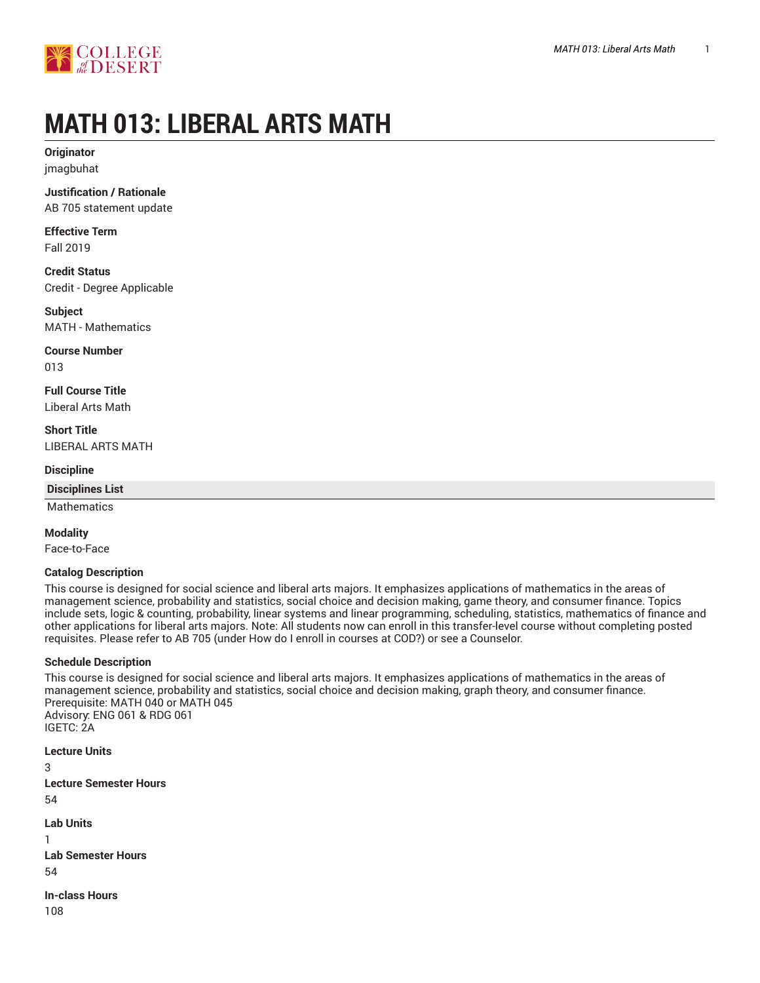

# **MATH 013: LIBERAL ARTS MATH**

**Originator** jmagbuhat

**Justification / Rationale** AB 705 statement update

**Effective Term** Fall 2019

**Credit Status** Credit - Degree Applicable

**Subject** MATH - Mathematics

**Course Number** 013

**Full Course Title** Liberal Arts Math

**Short Title** LIBERAL ARTS MATH

**Discipline**

**Disciplines List**

Mathematics

**Modality**

Face-to-Face

#### **Catalog Description**

This course is designed for social science and liberal arts majors. It emphasizes applications of mathematics in the areas of management science, probability and statistics, social choice and decision making, game theory, and consumer finance. Topics include sets, logic & counting, probability, linear systems and linear programming, scheduling, statistics, mathematics of finance and other applications for liberal arts majors. Note: All students now can enroll in this transfer-level course without completing posted requisites. Please refer to AB 705 (under How do I enroll in courses at COD?) or see a Counselor.

#### **Schedule Description**

This course is designed for social science and liberal arts majors. It emphasizes applications of mathematics in the areas of management science, probability and statistics, social choice and decision making, graph theory, and consumer finance. Prerequisite: MATH 040 or MATH 045 Advisory: ENG 061 & RDG 061 IGETC: 2A

**Lecture Units** 3 **Lecture Semester Hours** 54 **Lab Units** 1 **Lab Semester Hours** 54 **In-class Hours**

108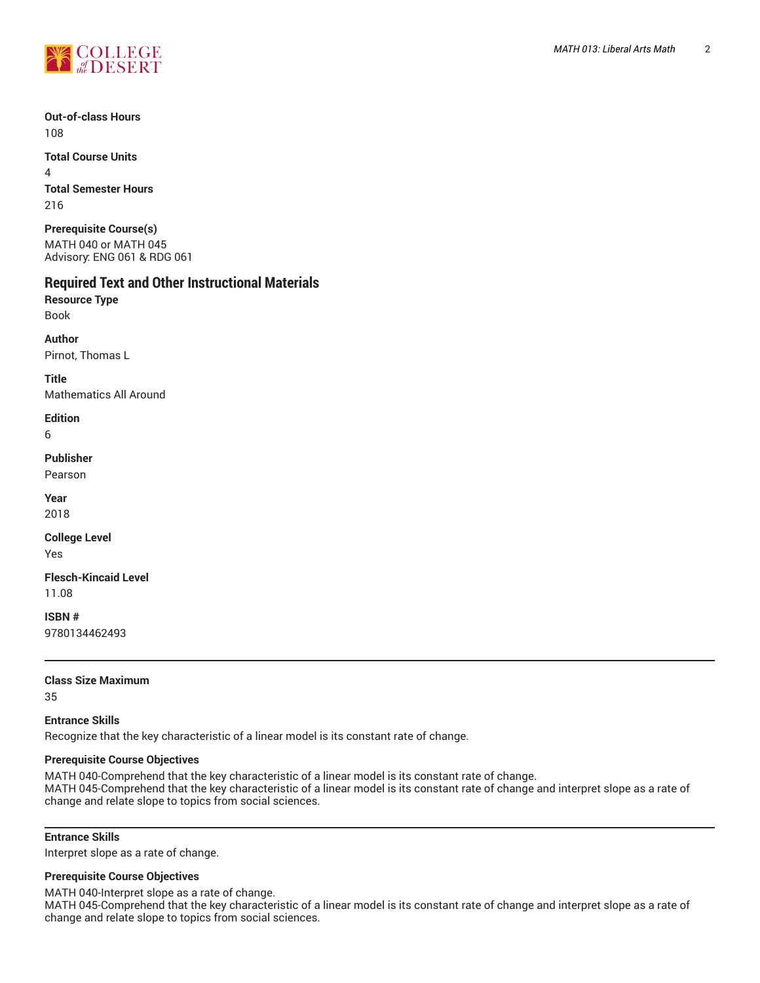

**Total Course Units** 4 **Total Semester Hours** 216

**Prerequisite Course(s)** MATH 040 or MATH 045 Advisory: ENG 061 & RDG 061

# **Required Text and Other Instructional Materials**

**Resource Type** Book

**Author** Pirnot, Thomas L

**Title**

Mathematics All Around

#### **Edition**

6

# **Publisher**

Pearson

**Year** 2018

# **College Level**

Yes

**Flesch-Kincaid Level** 11.08

**ISBN #** 9780134462493

# **Class Size Maximum**

35

# **Entrance Skills**

Recognize that the key characteristic of a linear model is its constant rate of change.

#### **Prerequisite Course Objectives**

MATH 040-Comprehend that the key characteristic of a linear model is its constant rate of change. MATH 045-Comprehend that the key characteristic of a linear model is its constant rate of change and interpret slope as a rate of change and relate slope to topics from social sciences.

# **Entrance Skills**

Interpret slope as a rate of change.

#### **Prerequisite Course Objectives**

MATH 040-Interpret slope as a rate of change.

MATH 045-Comprehend that the key characteristic of a linear model is its constant rate of change and interpret slope as a rate of change and relate slope to topics from social sciences.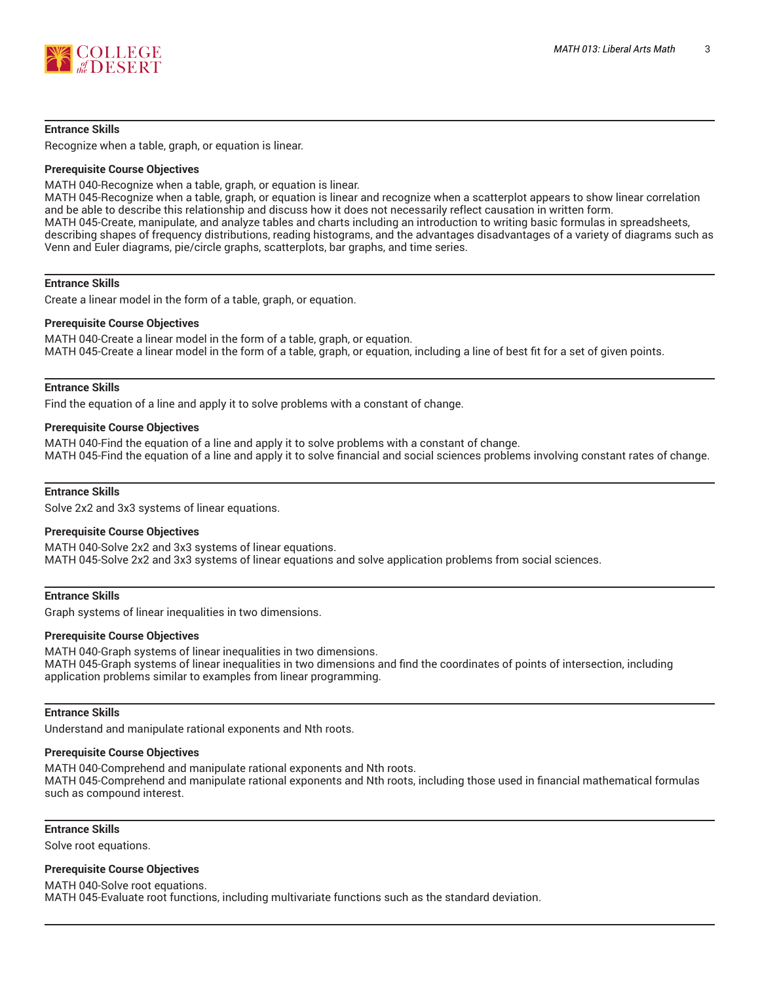

#### **Entrance Skills**

Recognize when a table, graph, or equation is linear.

#### **Prerequisite Course Objectives**

MATH 040-Recognize when a table, graph, or equation is linear.

MATH 045-Recognize when a table, graph, or equation is linear and recognize when a scatterplot appears to show linear correlation and be able to describe this relationship and discuss how it does not necessarily reflect causation in written form. MATH 045-Create, manipulate, and analyze tables and charts including an introduction to writing basic formulas in spreadsheets, describing shapes of frequency distributions, reading histograms, and the advantages disadvantages of a variety of diagrams such as Venn and Euler diagrams, pie/circle graphs, scatterplots, bar graphs, and time series.

#### **Entrance Skills**

Create a linear model in the form of a table, graph, or equation.

#### **Prerequisite Course Objectives**

MATH 040-Create a linear model in the form of a table, graph, or equation. MATH 045-Create a linear model in the form of a table, graph, or equation, including a line of best fit for a set of given points.

#### **Entrance Skills**

Find the equation of a line and apply it to solve problems with a constant of change.

#### **Prerequisite Course Objectives**

MATH 040-Find the equation of a line and apply it to solve problems with a constant of change. MATH 045-Find the equation of a line and apply it to solve financial and social sciences problems involving constant rates of change.

#### **Entrance Skills**

Solve 2x2 and 3x3 systems of linear equations.

#### **Prerequisite Course Objectives**

MATH 040-Solve 2x2 and 3x3 systems of linear equations. MATH 045-Solve 2x2 and 3x3 systems of linear equations and solve application problems from social sciences.

#### **Entrance Skills**

Graph systems of linear inequalities in two dimensions.

#### **Prerequisite Course Objectives**

MATH 040-Graph systems of linear inequalities in two dimensions. MATH 045-Graph systems of linear inequalities in two dimensions and find the coordinates of points of intersection, including application problems similar to examples from linear programming.

#### **Entrance Skills**

Understand and manipulate rational exponents and Nth roots.

#### **Prerequisite Course Objectives**

MATH 040-Comprehend and manipulate rational exponents and Nth roots. MATH 045-Comprehend and manipulate rational exponents and Nth roots, including those used in financial mathematical formulas such as compound interest.

#### **Entrance Skills**

Solve root equations.

#### **Prerequisite Course Objectives**

MATH 040-Solve root equations. MATH 045-Evaluate root functions, including multivariate functions such as the standard deviation.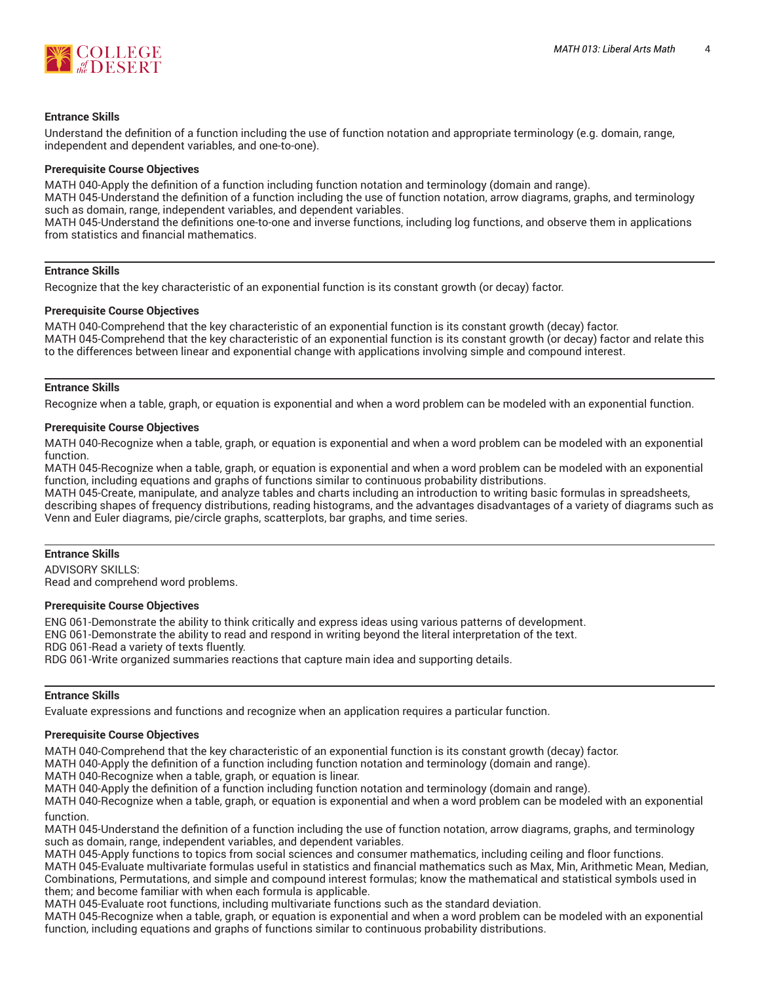

#### **Entrance Skills**

Understand the definition of a function including the use of function notation and appropriate terminology (e.g. domain, range, independent and dependent variables, and one-to-one).

#### **Prerequisite Course Objectives**

MATH 040-Apply the definition of a function including function notation and terminology (domain and range).

MATH 045-Understand the definition of a function including the use of function notation, arrow diagrams, graphs, and terminology such as domain, range, independent variables, and dependent variables.

MATH 045-Understand the definitions one-to-one and inverse functions, including log functions, and observe them in applications from statistics and financial mathematics.

#### **Entrance Skills**

Recognize that the key characteristic of an exponential function is its constant growth (or decay) factor.

#### **Prerequisite Course Objectives**

MATH 040-Comprehend that the key characteristic of an exponential function is its constant growth (decay) factor. MATH 045-Comprehend that the key characteristic of an exponential function is its constant growth (or decay) factor and relate this to the differences between linear and exponential change with applications involving simple and compound interest.

#### **Entrance Skills**

Recognize when a table, graph, or equation is exponential and when a word problem can be modeled with an exponential function.

#### **Prerequisite Course Objectives**

MATH 040-Recognize when a table, graph, or equation is exponential and when a word problem can be modeled with an exponential function.

MATH 045-Recognize when a table, graph, or equation is exponential and when a word problem can be modeled with an exponential function, including equations and graphs of functions similar to continuous probability distributions.

MATH 045-Create, manipulate, and analyze tables and charts including an introduction to writing basic formulas in spreadsheets, describing shapes of frequency distributions, reading histograms, and the advantages disadvantages of a variety of diagrams such as Venn and Euler diagrams, pie/circle graphs, scatterplots, bar graphs, and time series.

#### **Entrance Skills**

ADVISORY SKILLS: Read and comprehend word problems.

#### **Prerequisite Course Objectives**

ENG 061-Demonstrate the ability to think critically and express ideas using various patterns of development. ENG 061-Demonstrate the ability to read and respond in writing beyond the literal interpretation of the text. RDG 061-Read a variety of texts fluently. RDG 061-Write organized summaries reactions that capture main idea and supporting details.

#### **Entrance Skills**

Evaluate expressions and functions and recognize when an application requires a particular function.

#### **Prerequisite Course Objectives**

MATH 040-Comprehend that the key characteristic of an exponential function is its constant growth (decay) factor.

MATH 040-Apply the definition of a function including function notation and terminology (domain and range).

MATH 040-Recognize when a table, graph, or equation is linear.

MATH 040-Apply the definition of a function including function notation and terminology (domain and range).

MATH 040-Recognize when a table, graph, or equation is exponential and when a word problem can be modeled with an exponential function.

MATH 045-Understand the definition of a function including the use of function notation, arrow diagrams, graphs, and terminology such as domain, range, independent variables, and dependent variables.

MATH 045-Apply functions to topics from social sciences and consumer mathematics, including ceiling and floor functions. MATH 045-Evaluate multivariate formulas useful in statistics and financial mathematics such as Max, Min, Arithmetic Mean, Median, Combinations, Permutations, and simple and compound interest formulas; know the mathematical and statistical symbols used in them; and become familiar with when each formula is applicable.

MATH 045-Evaluate root functions, including multivariate functions such as the standard deviation.

MATH 045-Recognize when a table, graph, or equation is exponential and when a word problem can be modeled with an exponential function, including equations and graphs of functions similar to continuous probability distributions.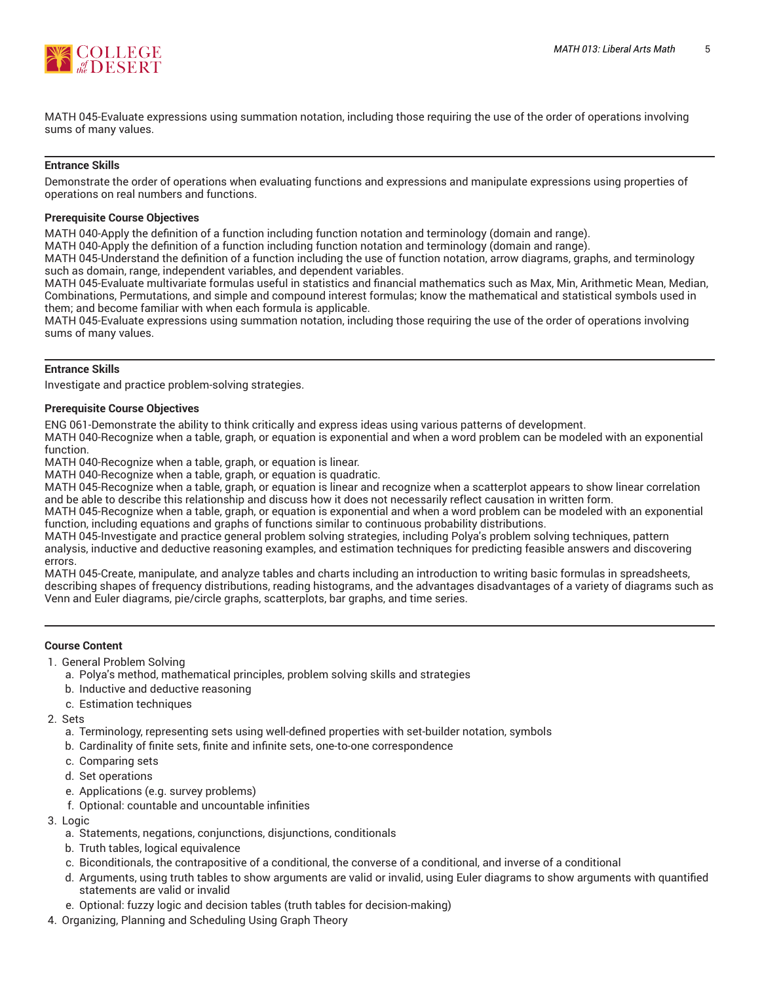

MATH 045-Evaluate expressions using summation notation, including those requiring the use of the order of operations involving sums of many values.

#### **Entrance Skills**

Demonstrate the order of operations when evaluating functions and expressions and manipulate expressions using properties of operations on real numbers and functions.

#### **Prerequisite Course Objectives**

MATH 040-Apply the definition of a function including function notation and terminology (domain and range).

MATH 040-Apply the definition of a function including function notation and terminology (domain and range).

MATH 045-Understand the definition of a function including the use of function notation, arrow diagrams, graphs, and terminology such as domain, range, independent variables, and dependent variables.

MATH 045-Evaluate multivariate formulas useful in statistics and financial mathematics such as Max, Min, Arithmetic Mean, Median, Combinations, Permutations, and simple and compound interest formulas; know the mathematical and statistical symbols used in them; and become familiar with when each formula is applicable.

MATH 045-Evaluate expressions using summation notation, including those requiring the use of the order of operations involving sums of many values.

#### **Entrance Skills**

Investigate and practice problem-solving strategies.

#### **Prerequisite Course Objectives**

ENG 061-Demonstrate the ability to think critically and express ideas using various patterns of development.

MATH 040-Recognize when a table, graph, or equation is exponential and when a word problem can be modeled with an exponential function.

MATH 040-Recognize when a table, graph, or equation is linear.

MATH 040-Recognize when a table, graph, or equation is quadratic.

MATH 045-Recognize when a table, graph, or equation is linear and recognize when a scatterplot appears to show linear correlation and be able to describe this relationship and discuss how it does not necessarily reflect causation in written form.

MATH 045-Recognize when a table, graph, or equation is exponential and when a word problem can be modeled with an exponential function, including equations and graphs of functions similar to continuous probability distributions.

MATH 045-Investigate and practice general problem solving strategies, including Polya's problem solving techniques, pattern analysis, inductive and deductive reasoning examples, and estimation techniques for predicting feasible answers and discovering errors.

MATH 045-Create, manipulate, and analyze tables and charts including an introduction to writing basic formulas in spreadsheets, describing shapes of frequency distributions, reading histograms, and the advantages disadvantages of a variety of diagrams such as Venn and Euler diagrams, pie/circle graphs, scatterplots, bar graphs, and time series.

#### **Course Content**

1. General Problem Solving

- a. Polya's method, mathematical principles, problem solving skills and strategies
- b. Inductive and deductive reasoning
- c. Estimation techniques
- 2. Sets
	- a. Terminology, representing sets using well-defined properties with set-builder notation, symbols
	- b. Cardinality of finite sets, finite and infinite sets, one-to-one correspondence
	- c. Comparing sets
	- d. Set operations
	- e. Applications (e.g. survey problems)
	- f. Optional: countable and uncountable infinities
- 3. Logic
	- a. Statements, negations, conjunctions, disjunctions, conditionals
	- b. Truth tables, logical equivalence
	- c. Biconditionals, the contrapositive of a conditional, the converse of a conditional, and inverse of a conditional
	- d. Arguments, using truth tables to show arguments are valid or invalid, using Euler diagrams to show arguments with quantified statements are valid or invalid
	- e. Optional: fuzzy logic and decision tables (truth tables for decision-making)
- 4. Organizing, Planning and Scheduling Using Graph Theory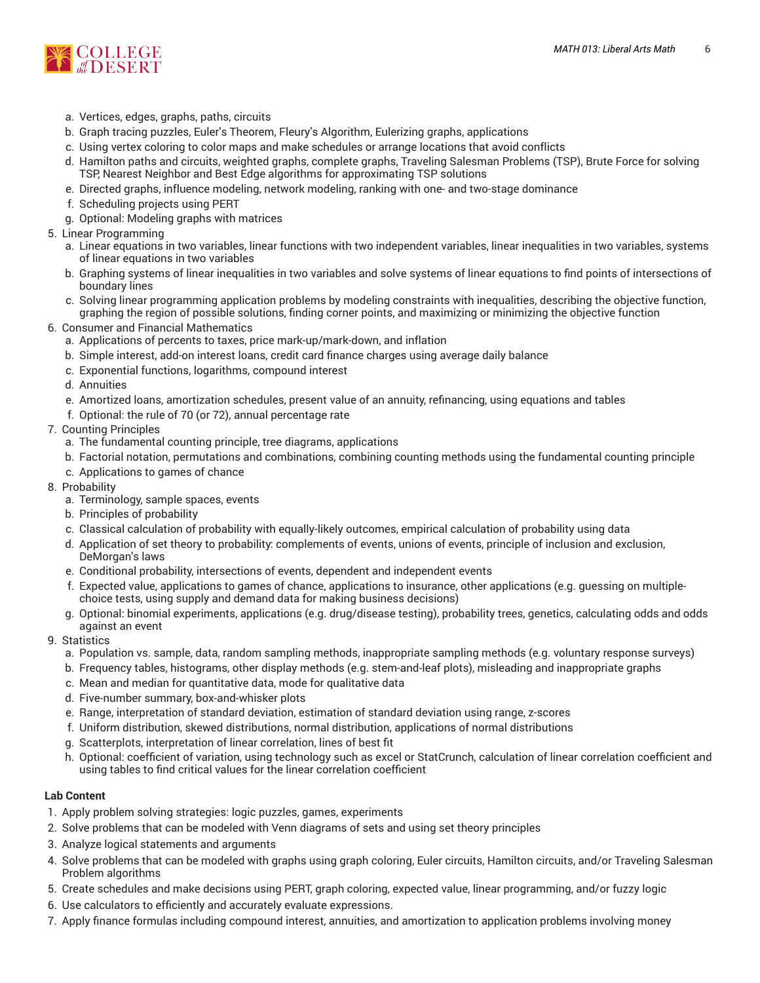

- a. Vertices, edges, graphs, paths, circuits
- b. Graph tracing puzzles, Euler's Theorem, Fleury's Algorithm, Eulerizing graphs, applications
- c. Using vertex coloring to color maps and make schedules or arrange locations that avoid conflicts
- d. Hamilton paths and circuits, weighted graphs, complete graphs, Traveling Salesman Problems (TSP), Brute Force for solving TSP, Nearest Neighbor and Best Edge algorithms for approximating TSP solutions
- e. Directed graphs, influence modeling, network modeling, ranking with one- and two-stage dominance
- f. Scheduling projects using PERT
- g. Optional: Modeling graphs with matrices
- 5. Linear Programming
	- a. Linear equations in two variables, linear functions with two independent variables, linear inequalities in two variables, systems of linear equations in two variables
	- b. Graphing systems of linear inequalities in two variables and solve systems of linear equations to find points of intersections of boundary lines
	- c. Solving linear programming application problems by modeling constraints with inequalities, describing the objective function, graphing the region of possible solutions, finding corner points, and maximizing or minimizing the objective function
- 6. Consumer and Financial Mathematics
	- a. Applications of percents to taxes, price mark-up/mark-down, and inflation
	- b. Simple interest, add-on interest loans, credit card finance charges using average daily balance
	- c. Exponential functions, logarithms, compound interest
	- d. Annuities
	- e. Amortized loans, amortization schedules, present value of an annuity, refinancing, using equations and tables
	- f. Optional: the rule of 70 (or 72), annual percentage rate

#### 7. Counting Principles

- a. The fundamental counting principle, tree diagrams, applications
- b. Factorial notation, permutations and combinations, combining counting methods using the fundamental counting principle
- c. Applications to games of chance
- 8. Probability
	- a. Terminology, sample spaces, events
	- b. Principles of probability
	- c. Classical calculation of probability with equally-likely outcomes, empirical calculation of probability using data
	- d. Application of set theory to probability: complements of events, unions of events, principle of inclusion and exclusion, DeMorgan's laws
	- e. Conditional probability, intersections of events, dependent and independent events
	- f. Expected value, applications to games of chance, applications to insurance, other applications (e.g. guessing on multiplechoice tests, using supply and demand data for making business decisions)
	- g. Optional: binomial experiments, applications (e.g. drug/disease testing), probability trees, genetics, calculating odds and odds against an event
- 9. Statistics
	- a. Population vs. sample, data, random sampling methods, inappropriate sampling methods (e.g. voluntary response surveys)
	- b. Frequency tables, histograms, other display methods (e.g. stem-and-leaf plots), misleading and inappropriate graphs
	- c. Mean and median for quantitative data, mode for qualitative data
	- d. Five-number summary, box-and-whisker plots
	- e. Range, interpretation of standard deviation, estimation of standard deviation using range, z-scores
	- f. Uniform distribution, skewed distributions, normal distribution, applications of normal distributions
	- g. Scatterplots, interpretation of linear correlation, lines of best fit
	- h. Optional: coefficient of variation, using technology such as excel or StatCrunch, calculation of linear correlation coefficient and using tables to find critical values for the linear correlation coefficient

#### **Lab Content**

- 1. Apply problem solving strategies: logic puzzles, games, experiments
- 2. Solve problems that can be modeled with Venn diagrams of sets and using set theory principles
- 3. Analyze logical statements and arguments
- 4. Solve problems that can be modeled with graphs using graph coloring, Euler circuits, Hamilton circuits, and/or Traveling Salesman Problem algorithms
- 5. Create schedules and make decisions using PERT, graph coloring, expected value, linear programming, and/or fuzzy logic
- 6. Use calculators to efficiently and accurately evaluate expressions.
- 7. Apply finance formulas including compound interest, annuities, and amortization to application problems involving money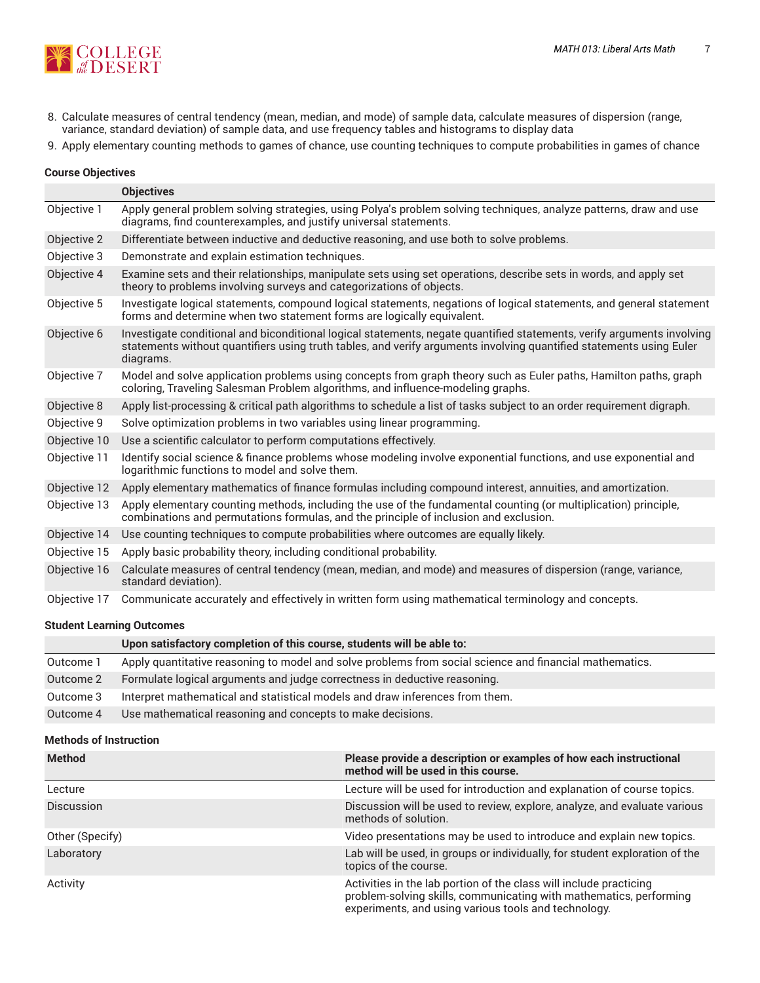

- 8. Calculate measures of central tendency (mean, median, and mode) of sample data, calculate measures of dispersion (range, variance, standard deviation) of sample data, and use frequency tables and histograms to display data
- 9. Apply elementary counting methods to games of chance, use counting techniques to compute probabilities in games of chance

#### **Course Objectives**

|              | <b>Objectives</b>                                                                                                                                                                                                                                          |
|--------------|------------------------------------------------------------------------------------------------------------------------------------------------------------------------------------------------------------------------------------------------------------|
| Objective 1  | Apply general problem solving strategies, using Polya's problem solving techniques, analyze patterns, draw and use<br>diagrams, find counterexamples, and justify universal statements.                                                                    |
| Objective 2  | Differentiate between inductive and deductive reasoning, and use both to solve problems.                                                                                                                                                                   |
| Objective 3  | Demonstrate and explain estimation techniques.                                                                                                                                                                                                             |
| Objective 4  | Examine sets and their relationships, manipulate sets using set operations, describe sets in words, and apply set<br>theory to problems involving surveys and categorizations of objects.                                                                  |
| Objective 5  | Investigate logical statements, compound logical statements, negations of logical statements, and general statement<br>forms and determine when two statement forms are logically equivalent.                                                              |
| Objective 6  | Investigate conditional and biconditional logical statements, negate quantified statements, verify arguments involving<br>statements without quantifiers using truth tables, and verify arguments involving quantified statements using Euler<br>diagrams. |
| Objective 7  | Model and solve application problems using concepts from graph theory such as Euler paths, Hamilton paths, graph<br>coloring, Traveling Salesman Problem algorithms, and influence-modeling graphs.                                                        |
| Objective 8  | Apply list-processing & critical path algorithms to schedule a list of tasks subject to an order requirement digraph.                                                                                                                                      |
| Objective 9  | Solve optimization problems in two variables using linear programming.                                                                                                                                                                                     |
| Objective 10 | Use a scientific calculator to perform computations effectively.                                                                                                                                                                                           |
| Objective 11 | Identify social science & finance problems whose modeling involve exponential functions, and use exponential and<br>logarithmic functions to model and solve them.                                                                                         |
| Objective 12 | Apply elementary mathematics of finance formulas including compound interest, annuities, and amortization.                                                                                                                                                 |
| Objective 13 | Apply elementary counting methods, including the use of the fundamental counting (or multiplication) principle,<br>combinations and permutations formulas, and the principle of inclusion and exclusion.                                                   |
| Objective 14 | Use counting techniques to compute probabilities where outcomes are equally likely.                                                                                                                                                                        |
| Objective 15 | Apply basic probability theory, including conditional probability.                                                                                                                                                                                         |
| Objective 16 | Calculate measures of central tendency (mean, median, and mode) and measures of dispersion (range, variance,<br>standard deviation).                                                                                                                       |
| Objective 17 | Communicate accurately and effectively in written form using mathematical terminology and concepts.                                                                                                                                                        |

#### **Student Learning Outcomes**

|           | Upon satisfactory completion of this course, students will be able to:                                  |
|-----------|---------------------------------------------------------------------------------------------------------|
| Outcome 1 | Apply quantitative reasoning to model and solve problems from social science and financial mathematics. |
| Outcome 2 | Formulate logical arguments and judge correctness in deductive reasoning.                               |
| Outcome 3 | Interpret mathematical and statistical models and draw inferences from them.                            |
| Outcome 4 | Use mathematical reasoning and concepts to make decisions.                                              |

#### **Methods of Instruction**

| <b>Method</b>     | Please provide a description or examples of how each instructional<br>method will be used in this course.                                                                                        |
|-------------------|--------------------------------------------------------------------------------------------------------------------------------------------------------------------------------------------------|
| Lecture           | Lecture will be used for introduction and explanation of course topics.                                                                                                                          |
| <b>Discussion</b> | Discussion will be used to review, explore, analyze, and evaluate various<br>methods of solution.                                                                                                |
| Other (Specify)   | Video presentations may be used to introduce and explain new topics.                                                                                                                             |
| Laboratory        | Lab will be used, in groups or individually, for student exploration of the<br>topics of the course.                                                                                             |
| Activity          | Activities in the lab portion of the class will include practicing<br>problem-solving skills, communicating with mathematics, performing<br>experiments, and using various tools and technology. |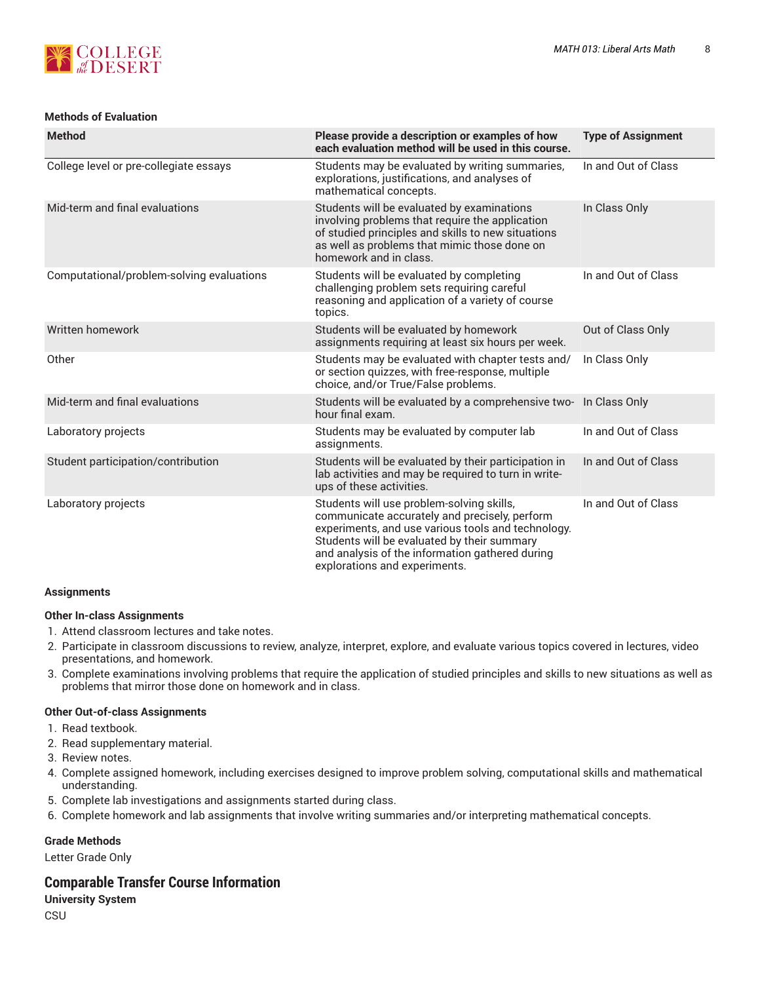

#### **Methods of Evaluation**

| <b>Method</b>                             | Please provide a description or examples of how<br>each evaluation method will be used in this course.                                                                                                                                                                              | <b>Type of Assignment</b> |
|-------------------------------------------|-------------------------------------------------------------------------------------------------------------------------------------------------------------------------------------------------------------------------------------------------------------------------------------|---------------------------|
| College level or pre-collegiate essays    | Students may be evaluated by writing summaries,<br>explorations, justifications, and analyses of<br>mathematical concepts.                                                                                                                                                          | In and Out of Class       |
| Mid-term and final evaluations            | Students will be evaluated by examinations<br>involving problems that require the application<br>of studied principles and skills to new situations<br>as well as problems that mimic those done on<br>homework and in class.                                                       | In Class Only             |
| Computational/problem-solving evaluations | Students will be evaluated by completing<br>challenging problem sets requiring careful<br>reasoning and application of a variety of course<br>topics.                                                                                                                               | In and Out of Class       |
| Written homework                          | Students will be evaluated by homework<br>assignments requiring at least six hours per week.                                                                                                                                                                                        | Out of Class Only         |
| Other                                     | Students may be evaluated with chapter tests and/<br>or section quizzes, with free-response, multiple<br>choice, and/or True/False problems.                                                                                                                                        | In Class Only             |
| Mid-term and final evaluations            | Students will be evaluated by a comprehensive two- In Class Only<br>hour final exam.                                                                                                                                                                                                |                           |
| Laboratory projects                       | Students may be evaluated by computer lab<br>assignments.                                                                                                                                                                                                                           | In and Out of Class       |
| Student participation/contribution        | Students will be evaluated by their participation in<br>lab activities and may be required to turn in write-<br>ups of these activities.                                                                                                                                            | In and Out of Class       |
| Laboratory projects                       | Students will use problem-solving skills,<br>communicate accurately and precisely, perform<br>experiments, and use various tools and technology.<br>Students will be evaluated by their summary<br>and analysis of the information gathered during<br>explorations and experiments. | In and Out of Class       |

#### **Assignments**

#### **Other In-class Assignments**

- 1. Attend classroom lectures and take notes.
- 2. Participate in classroom discussions to review, analyze, interpret, explore, and evaluate various topics covered in lectures, video presentations, and homework.
- 3. Complete examinations involving problems that require the application of studied principles and skills to new situations as well as problems that mirror those done on homework and in class.

#### **Other Out-of-class Assignments**

- 1. Read textbook.
- 2. Read supplementary material.
- 3. Review notes.
- 4. Complete assigned homework, including exercises designed to improve problem solving, computational skills and mathematical understanding.
- 5. Complete lab investigations and assignments started during class.
- 6. Complete homework and lab assignments that involve writing summaries and/or interpreting mathematical concepts.

#### **Grade Methods**

Letter Grade Only

# **Comparable Transfer Course Information**

**University System CSU**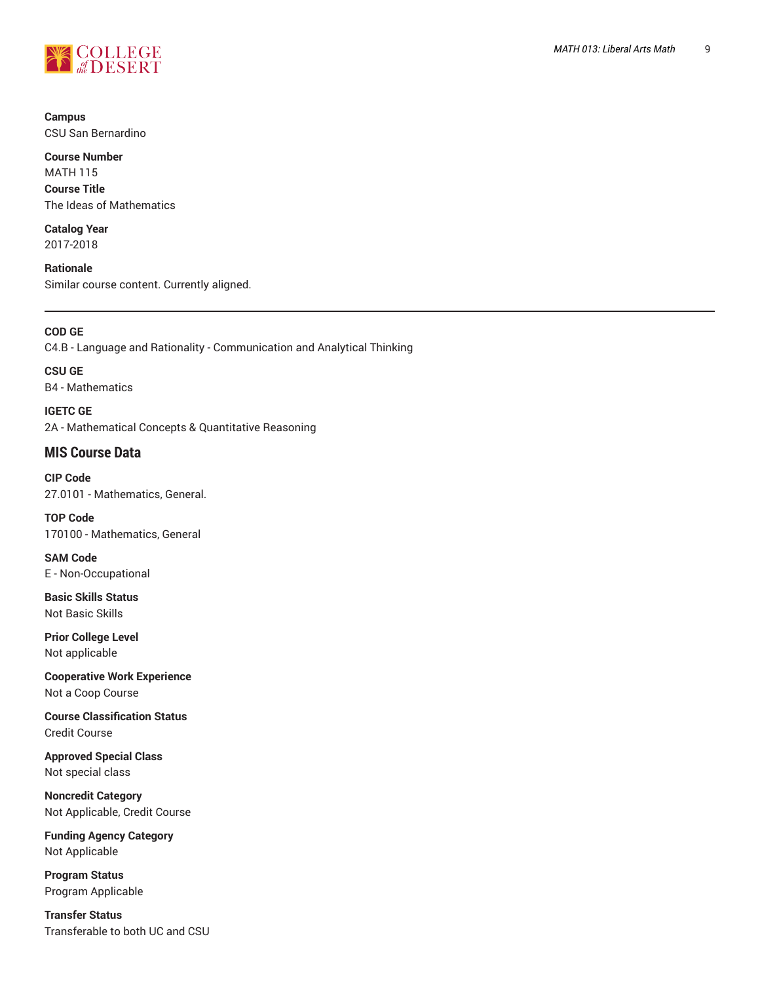

**Campus** CSU San Bernardino

**Course Number** MATH 115 **Course Title** The Ideas of Mathematics

**Catalog Year** 2017-2018

**Rationale** Similar course content. Currently aligned.

**COD GE** C4.B - Language and Rationality - Communication and Analytical Thinking

**CSU GE** B4 - Mathematics

**IGETC GE** 2A - Mathematical Concepts & Quantitative Reasoning

# **MIS Course Data**

**CIP Code** 27.0101 - Mathematics, General.

**TOP Code** 170100 - Mathematics, General

**SAM Code** E - Non-Occupational

**Basic Skills Status** Not Basic Skills

**Prior College Level** Not applicable

**Cooperative Work Experience** Not a Coop Course

**Course Classification Status** Credit Course

**Approved Special Class** Not special class

**Noncredit Category** Not Applicable, Credit Course

**Funding Agency Category** Not Applicable

**Program Status** Program Applicable

**Transfer Status** Transferable to both UC and CSU